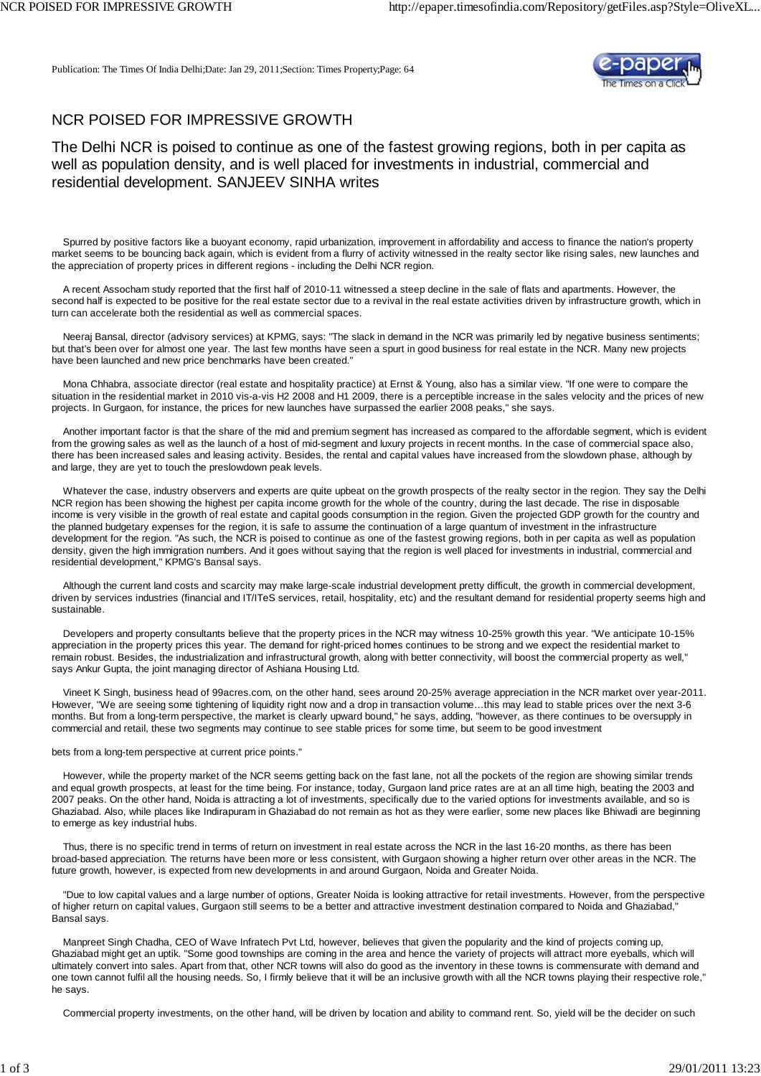Publication: The Times Of India Delhi;Date: Jan 29, 2011;Section: Times Property;Page: 64



## NCR POISED FOR IMPRESSIVE GROWTH

The Delhi NCR is poised to continue as one of the fastest growing regions, both in per capita as well as population density, and is well placed for investments in industrial, commercial and residential development. SANJEEV SINHA writes

 Spurred by positive factors like a buoyant economy, rapid urbanization, improvement in affordability and access to finance the nation's property market seems to be bouncing back again, which is evident from a flurry of activity witnessed in the realty sector like rising sales, new launches and the appreciation of property prices in different regions - including the Delhi NCR region.

 A recent Assocham study reported that the first half of 2010-11 witnessed a steep decline in the sale of flats and apartments. However, the second half is expected to be positive for the real estate sector due to a revival in the real estate activities driven by infrastructure growth, which in turn can accelerate both the residential as well as commercial spaces.

 Neeraj Bansal, director (advisory services) at KPMG, says: "The slack in demand in the NCR was primarily led by negative business sentiments; but that's been over for almost one year. The last few months have seen a spurt in good business for real estate in the NCR. Many new projects have been launched and new price benchmarks have been created."

 Mona Chhabra, associate director (real estate and hospitality practice) at Ernst & Young, also has a similar view. "If one were to compare the situation in the residential market in 2010 vis-a-vis H2 2008 and H1 2009, there is a perceptible increase in the sales velocity and the prices of new projects. In Gurgaon, for instance, the prices for new launches have surpassed the earlier 2008 peaks," she says.

 Another important factor is that the share of the mid and premium segment has increased as compared to the affordable segment, which is evident from the growing sales as well as the launch of a host of mid-segment and luxury projects in recent months. In the case of commercial space also, there has been increased sales and leasing activity. Besides, the rental and capital values have increased from the slowdown phase, although by and large, they are yet to touch the preslowdown peak levels.

 Whatever the case, industry observers and experts are quite upbeat on the growth prospects of the realty sector in the region. They say the Delhi NCR region has been showing the highest per capita income growth for the whole of the country, during the last decade. The rise in disposable income is very visible in the growth of real estate and capital goods consumption in the region. Given the projected GDP growth for the country and the planned budgetary expenses for the region, it is safe to assume the continuation of a large quantum of investment in the infrastructure development for the region. "As such, the NCR is poised to continue as one of the fastest growing regions, both in per capita as well as population density, given the high immigration numbers. And it goes without saying that the region is well placed for investments in industrial, commercial and residential development," KPMG's Bansal says.

 Although the current land costs and scarcity may make large-scale industrial development pretty difficult, the growth in commercial development, driven by services industries (financial and IT/ITeS services, retail, hospitality, etc) and the resultant demand for residential property seems high and sustainable.

 Developers and property consultants believe that the property prices in the NCR may witness 10-25% growth this year. "We anticipate 10-15% appreciation in the property prices this year. The demand for right-priced homes continues to be strong and we expect the residential market to remain robust. Besides, the industrialization and infrastructural growth, along with better connectivity, will boost the commercial property as well," says Ankur Gupta, the joint managing director of Ashiana Housing Ltd.

 Vineet K Singh, business head of 99acres.com, on the other hand, sees around 20-25% average appreciation in the NCR market over year-2011. However, "We are seeing some tightening of liquidity right now and a drop in transaction volume…this may lead to stable prices over the next 3-6 months. But from a long-term perspective, the market is clearly upward bound," he says, adding, "however, as there continues to be oversupply in commercial and retail, these two segments may continue to see stable prices for some time, but seem to be good investment

## bets from a long-tem perspective at current price points."

 However, while the property market of the NCR seems getting back on the fast lane, not all the pockets of the region are showing similar trends and equal growth prospects, at least for the time being. For instance, today, Gurgaon land price rates are at an all time high, beating the 2003 and 2007 peaks. On the other hand, Noida is attracting a lot of investments, specifically due to the varied options for investments available, and so is Ghaziabad. Also, while places like Indirapuram in Ghaziabad do not remain as hot as they were earlier, some new places like Bhiwadi are beginning to emerge as key industrial hubs.

Thus, there is no specific trend in terms of return on investment in real estate across the NCR in the last 16-20 months, as there has been broad-based appreciation. The returns have been more or less consistent, with Gurgaon showing a higher return over other areas in the NCR. The future growth, however, is expected from new developments in and around Gurgaon, Noida and Greater Noida.

 "Due to low capital values and a large number of options, Greater Noida is looking attractive for retail investments. However, from the perspective of higher return on capital values, Gurgaon still seems to be a better and attractive investment destination compared to Noida and Ghaziabad," Bansal says.

 Manpreet Singh Chadha, CEO of Wave Infratech Pvt Ltd, however, believes that given the popularity and the kind of projects coming up, Ghaziabad might get an uptik. "Some good townships are coming in the area and hence the variety of projects will attract more eyeballs, which will ultimately convert into sales. Apart from that, other NCR towns will also do good as the inventory in these towns is commensurate with demand and one town cannot fulfil all the housing needs. So, I firmly believe that it will be an inclusive growth with all the NCR towns playing their respective role," he says.

Commercial property investments, on the other hand, will be driven by location and ability to command rent. So, yield will be the decider on such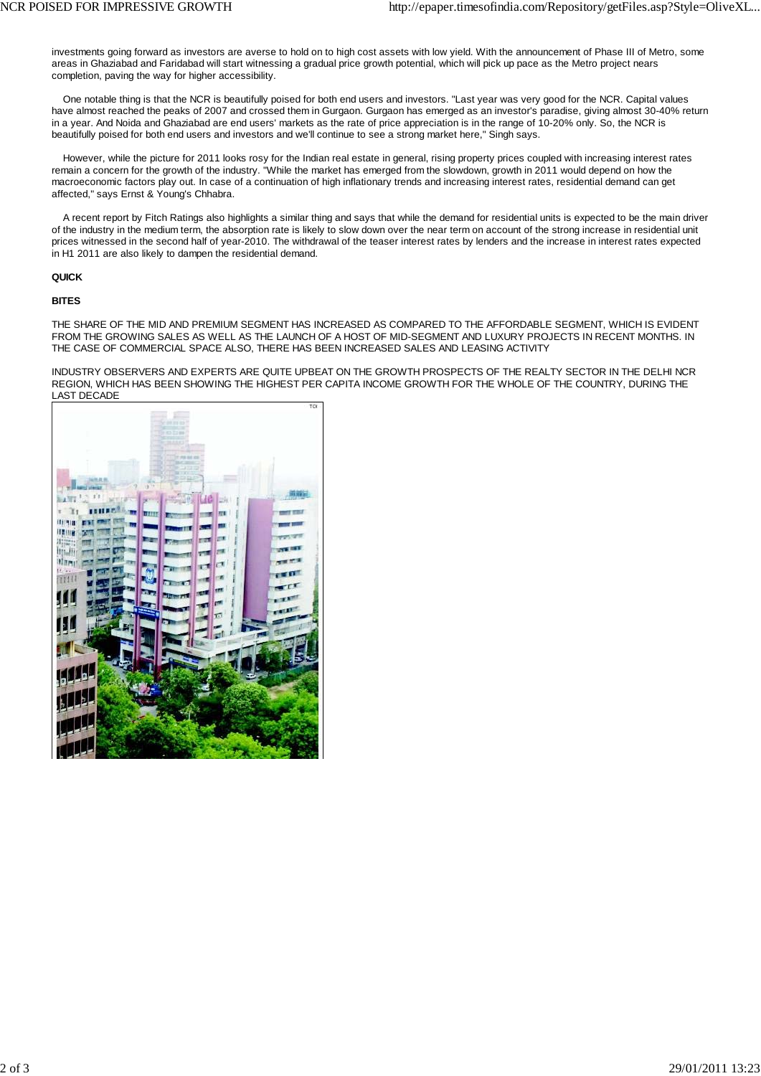investments going forward as investors are averse to hold on to high cost assets with low yield. With the announcement of Phase III of Metro, some areas in Ghaziabad and Faridabad will start witnessing a gradual price growth potential, which will pick up pace as the Metro project nears completion, paving the way for higher accessibility.

 One notable thing is that the NCR is beautifully poised for both end users and investors. "Last year was very good for the NCR. Capital values have almost reached the peaks of 2007 and crossed them in Gurgaon. Gurgaon has emerged as an investor's paradise, giving almost 30-40% return in a year. And Noida and Ghaziabad are end users' markets as the rate of price appreciation is in the range of 10-20% only. So, the NCR is beautifully poised for both end users and investors and we'll continue to see a strong market here," Singh says.

 However, while the picture for 2011 looks rosy for the Indian real estate in general, rising property prices coupled with increasing interest rates remain a concern for the growth of the industry. "While the market has emerged from the slowdown, growth in 2011 would depend on how the macroeconomic factors play out. In case of a continuation of high inflationary trends and increasing interest rates, residential demand can get affected," says Ernst & Young's Chhabra.

 A recent report by Fitch Ratings also highlights a similar thing and says that while the demand for residential units is expected to be the main driver of the industry in the medium term, the absorption rate is likely to slow down over the near term on account of the strong increase in residential unit prices witnessed in the second half of year-2010. The withdrawal of the teaser interest rates by lenders and the increase in interest rates expected in H1 2011 are also likely to dampen the residential demand.

## **QUICK**

## **BITES**

THE SHARE OF THE MID AND PREMIUM SEGMENT HAS INCREASED AS COMPARED TO THE AFFORDABLE SEGMENT, WHICH IS EVIDENT FROM THE GROWING SALES AS WELL AS THE LAUNCH OF A HOST OF MID-SEGMENT AND LUXURY PROJECTS IN RECENT MONTHS. IN THE CASE OF COMMERCIAL SPACE ALSO, THERE HAS BEEN INCREASED SALES AND LEASING ACTIVITY

INDUSTRY OBSERVERS AND EXPERTS ARE QUITE UPBEAT ON THE GROWTH PROSPECTS OF THE REALTY SECTOR IN THE DELHI NCR REGION, WHICH HAS BEEN SHOWING THE HIGHEST PER CAPITA INCOME GROWTH FOR THE WHOLE OF THE COUNTRY, DURING THE LAST DECADE